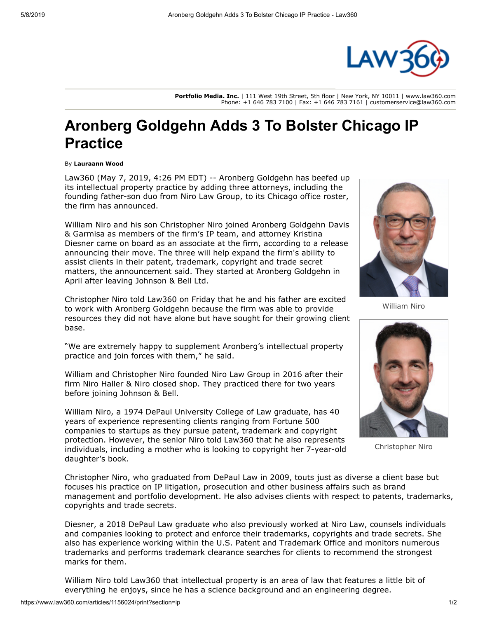

**Portfolio Media. Inc.** | 111 West 19th Street, 5th floor | New York, NY 10011 | www.law360.com Phone: +1 646 783 7100 | Fax: +1 646 783 7161 | customerservice@law360.com

## **Aronberg Goldgehn Adds 3 To Bolster Chicago IP Practice**

## By **Lauraann Wood**

Law360 (May 7, 2019, 4:26 PM EDT) -- [Aronberg Goldgehn](https://www.law360.com/firms/aronberg-goldgehn) has beefed up its intellectual property practice by adding three attorneys, including the founding father-son duo from Niro Law Group, to its Chicago office roster, the firm has announced.

William Niro and his son Christopher Niro joined Aronberg Goldgehn Davis & Garmisa as members of the firm's IP team, and attorney Kristina Diesner came on board as an associate at the firm, according to a release announcing their move. The three will help expand the firm's ability to assist clients in their patent, trademark, copyright and trade secret matters, the announcement said. They started at Aronberg Goldgehn in April after leaving [Johnson & Bell Ltd](https://www.law360.com/firms/johnson-bell).

Christopher Niro told Law360 on Friday that he and his father are excited to work with Aronberg Goldgehn because the firm was able to provide resources they did not have alone but have sought for their growing client base.

"We are extremely happy to supplement Aronberg's intellectual property practice and join forces with them," he said.

William and Christopher Niro founded Niro Law Group in 2016 after their firm [Niro Haller & Niro](https://www.law360.com/firms/niro-law-ltd) closed shop. They practiced there for two years before joining Johnson & Bell.

William Niro, a 1974 DePaul University College of Law graduate, has 40 years of experience representing clients ranging from Fortune 500 companies to startups as they pursue patent, trademark and copyright protection. However, the senior Niro told Law360 that he also represents individuals, including a mother who is looking to copyright her 7-year-old daughter's book.

Christopher Niro, who graduated from DePaul Law in 2009, touts just as diverse a client base but focuses his practice on IP litigation, prosecution and other business affairs such as brand management and portfolio development. He also advises clients with respect to patents, trademarks, copyrights and trade secrets.

Diesner, a 2018 DePaul Law graduate who also previously worked at Niro Law, counsels individuals and companies looking to protect and enforce their trademarks, copyrights and trade secrets. She also has experience working within the [U.S. Patent and Trademark Office](https://www.law360.com/agencies/u-s-patent-and-trademark-office) and monitors numerous trademarks and performs trademark clearance searches for clients to recommend the strongest marks for them.

William Niro told Law360 that intellectual property is an area of law that features a little bit of everything he enjoys, since he has a science background and an engineering degree.



William Niro



Christopher Niro